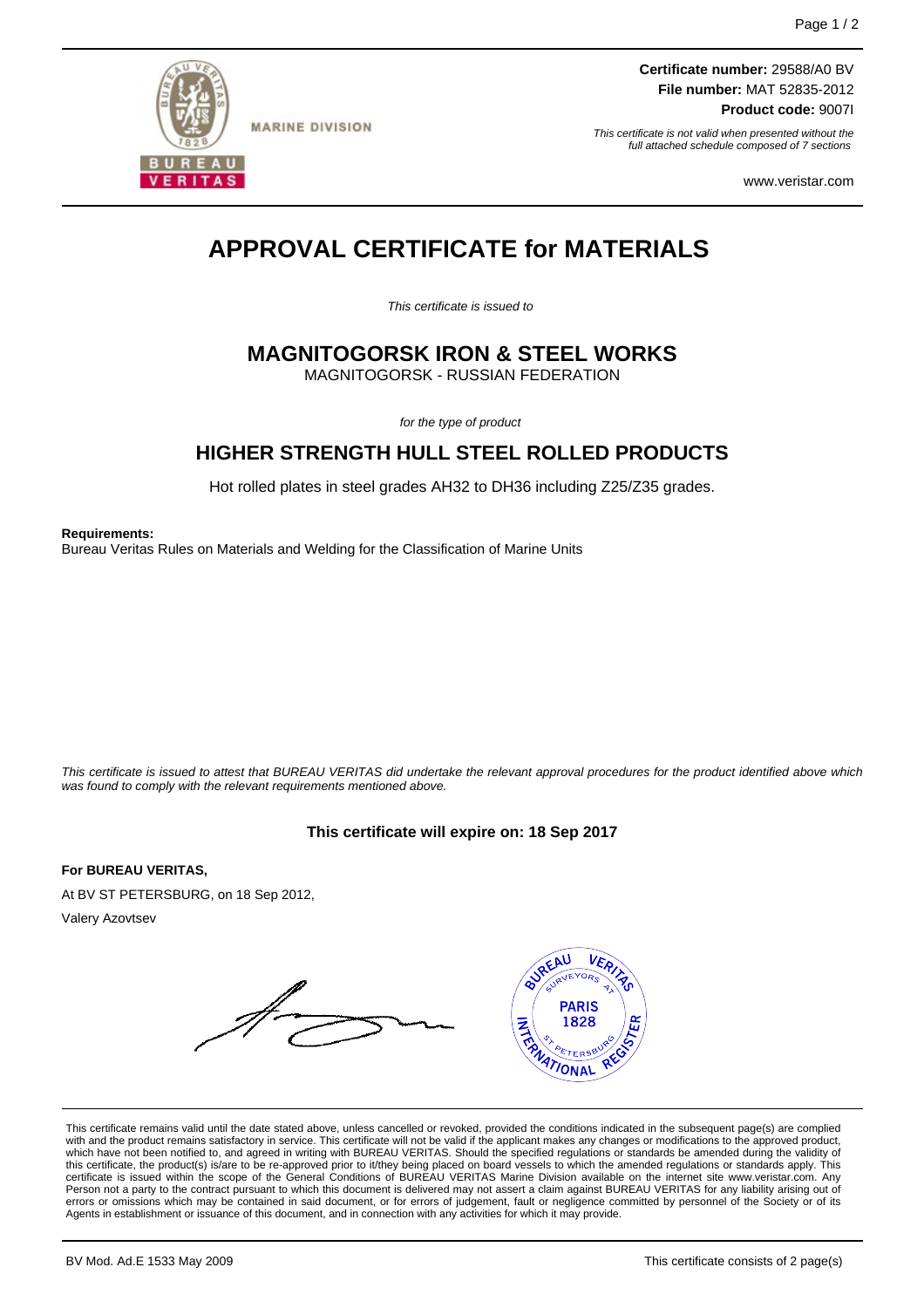

**MARINE DIVISION** 

**Certificate number:** 29588/A0 BV **File number:** MAT 52835-2012 **Product code:** 9007I

This certificate is not valid when presented without the full attached schedule composed of 7 sections

www.veristar.com

# **APPROVAL CERTIFICATE for MATERIALS**

This certificate is issued to

## **MAGNITOGORSK IRON & STEEL WORKS**

MAGNITOGORSK - RUSSIAN FEDERATION

for the type of product

## **HIGHER STRENGTH HULL STEEL ROLLED PRODUCTS**

Hot rolled plates in steel grades AH32 to DH36 including Z25/Z35 grades.

**Requirements:**

Bureau Veritas Rules on Materials and Welding for the Classification of Marine Units

This certificate is issued to attest that BUREAU VERITAS did undertake the relevant approval procedures for the product identified above which was found to comply with the relevant requirements mentioned above.

#### **This certificate will expire on: 18 Sep 2017**

**For BUREAU VERITAS,**

At BV ST PETERSBURG, on 18 Sep 2012,

Valery Azovtsev



This certificate remains valid until the date stated above, unless cancelled or revoked, provided the conditions indicated in the subsequent page(s) are complied with and the product remains satisfactory in service. This certificate will not be valid if the applicant makes any changes or modifications to the approved product,<br>which have not been notified to, and agreed in writing w this certificate, the product(s) is/are to be re-approved prior to it/they being placed on board vessels to which the amended regulations or standards apply. This<br>certificate is issued within the scope of the General Condi Person not a party to the contract pursuant to which this document is delivered may not assert a claim against BUREAU VERITAS for any liability arising out of errors or omissions which may be contained in said document, or for errors of judgement, fault or negligence committed by personnel of the Society or of its Agents in establishment or issuance of this document, and in connection with any activities for which it may provide.